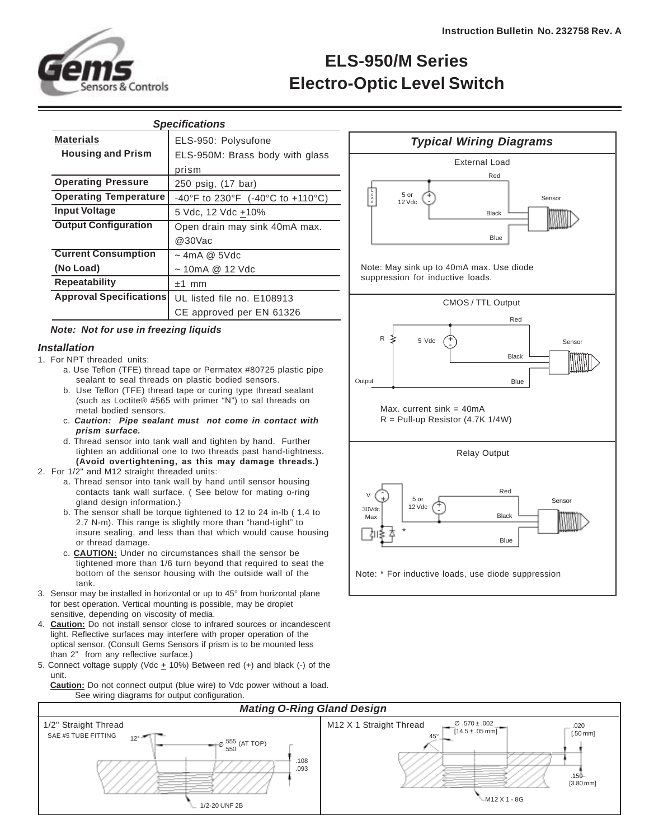

# **ELS-950/M Series Electro-Optic Level Switch**

| <b>Specifications</b>          |                                            |
|--------------------------------|--------------------------------------------|
| <b>Materials</b>               | ELS-950: Polysufone                        |
| <b>Housing and Prism</b>       | ELS-950M: Brass body with glass            |
|                                | prism                                      |
| <b>Operating Pressure</b>      | 250 psig, (17 bar)                         |
| <b>Operating Temperature</b>   | $-40^{\circ}$ F to 230°F (-40°C to +110°C) |
| <b>Input Voltage</b>           | 5 Vdc, 12 Vdc +10%                         |
| <b>Output Configuration</b>    | Open drain may sink 40mA max.              |
|                                | @30Vac                                     |
| <b>Current Consumption</b>     | $\sim$ 4mA @ 5Vdc                          |
| (No Load)                      | $\sim$ 10mA @ 12 Vdc                       |
| <b>Repeatability</b>           | $±1$ mm                                    |
| <b>Approval Specifications</b> | UL listed file no. E108913                 |
|                                | CE approved per EN 61326                   |
|                                |                                            |

## **Note: Not for use in freezing liquids**

#### **Installation**

- 1. For NPT threaded units:
	- a. Use Teflon (TFE) thread tape or Permatex #80725 plastic pipe sealant to seal threads on plastic bodied sensors.
	- b. Use Teflon (TFE) thread tape or curing type thread sealant (such as Loctite® #565 with primer "N") to sal threads on metal bodied sensors.
	- c. **Caution: Pipe sealant must not come in contact with prism surface.**
	- d. Thread sensor into tank wall and tighten by hand. Further tighten an additional one to two threads past hand-tightness. **(Avoid overtightening, as this may damage threads.)**
- 2. For 1/2" and M12 straight threaded units:
	- a. Thread sensor into tank wall by hand until sensor housing contacts tank wall surface. ( See below for mating o-ring gland design information.)
	- b. The sensor shall be torque tightened to 12 to 24 in-lb ( 1.4 to 2.7 N-m). This range is slightly more than "hand-tight" to insure sealing, and less than that which would cause housing or thread damage.
	- c. **CAUTION:** Under no circumstances shall the sensor be tightened more than 1/6 turn beyond that required to seat the bottom of the sensor housing with the outside wall of the tank.
- 3. Sensor may be installed in horizontal or up to 45° from horizontal plane for best operation. Vertical mounting is possible, may be droplet sensitive, depending on viscosity of media.
- 4. **Caution:** Do not install sensor close to infrared sources or incandescent light. Reflective surfaces may interfere with proper operation of the optical sensor. (Consult Gems Sensors if prism is to be mounted less than 2" from any reflective surface.)
- 5. Connect voltage supply (Vdc  $\pm$  10%) Between red (+) and black (-) of the unit.

 **Caution:** Do not connect output (blue wire) to Vdc power without a load. See wiring diagrams for output configuration.



Note: May sink up to 40mA max. Use diode suppression for inductive loads.